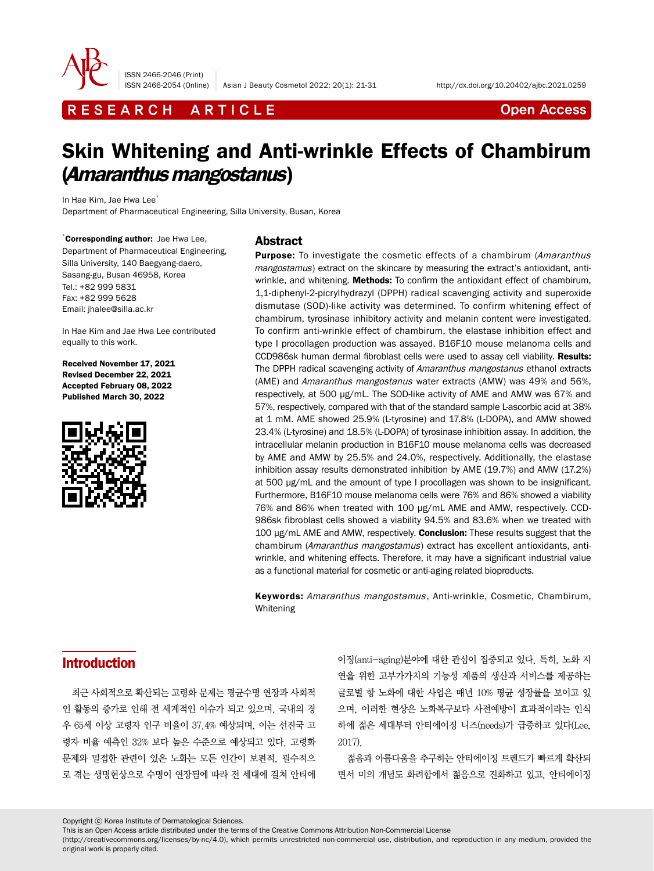

ISSN 2466-2046 (Print)

ISSN 2466-2054 (Online) Asian J Beauty Cosmetol 2022; 20(1): 21-31 http://dx.doi.org/10.20402/ajbc.2021.0259

R E S E A R C H A R T I C L E **C A R C H A R T I C L** E

# Skin Whitening and Anti-wrinkle Effects of Chambirum (Amaranthus mangostanus)

In Hae Kim, Jae Hwa Lee<sup>\*</sup>

Department of Pharmaceutical Engineering, Silla University, Busan, Korea

\* Corresponding author: Jae Hwa Lee, Department of Pharmaceutical Engineering, Silla University, 140 Baegyang-daero, Sasang-gu, Busan 46958, Korea Tel.: +82 999 5831 Fax: +82 999 5628 Email: jhalee@silla.ac.kr

In Hae Kim and Jae Hwa Lee contributed equally to this work.

Received November 17, 2021 Revised December 22, 2021 Accepted February 08, 2022 Published March 30, 2022



#### Abstract

**Purpose:** To investigate the cosmetic effects of a chambirum (Amaranthus mangostamus) extract on the skincare by measuring the extract's antioxidant, antiwrinkle, and whitening. **Methods:** To confirm the antioxidant effect of chambirum, 1,1-diphenyl-2-picrylhydrazyl (DPPH) radical scavenging activity and superoxide dismutase (SOD)-like activity was determined. To confirm whitening effect of chambirum, tyrosinase inhibitory activity and melanin content were investigated. To confirm anti-wrinkle effect of chambirum, the elastase inhibition effect and type I procollagen production was assayed. B16F10 mouse melanoma cells and CCD986sk human dermal fibroblast cells were used to assay cell viability. Results: The DPPH radical scavenging activity of Amaranthus mangostanus ethanol extracts (AME) and Amaranthus mangostanus water extracts (AMW) was 49% and 56%, respectively, at 500 μg/mL. The SOD-like activity of AME and AMW was 67% and 57%, respectively, compared with that of the standard sample L-ascorbic acid at 38% at 1 mM. AME showed 25.9% (L-tyrosine) and 17.8% (L-DOPA), and AMW showed 23.4% (L-tyrosine) and 18.5% (L-DOPA) of tyrosinase inhibition assay. In addition, the intracellular melanin production in B16F10 mouse melanoma cells was decreased by AME and AMW by 25.5% and 24.0%, respectively. Additionally, the elastase inhibition assay results demonstrated inhibition by AME (19.7%) and AMW (17.2%) at 500 μg/mL and the amount of type I procollagen was shown to be insignificant. Furthermore, B16F10 mouse melanoma cells were 76% and 86% showed a viability 76% and 86% when treated with 100 μg/mL AME and AMW, respectively. CCD-986sk fibroblast cells showed a viability 94.5% and 83.6% when we treated with 100 μg/mL AME and AMW, respectively. **Conclusion:** These results suggest that the chambirum (Amaranthus mangostamus) extract has excellent antioxidants, antiwrinkle, and whitening effects. Therefore, it may have a significant industrial value as a functional material for cosmetic or anti-aging related bioproducts.

Keywords: Amaranthus mangostamus, Anti-wrinkle, Cosmetic, Chambirum, Whitening

# Introduction

최근 사회적으로 확산되는 고령화 문제는 평균수명 연장과 사회적 인 활동의 증가로 인해 전 세계적인 이슈가 되고 있으며, 국내의 경 우 65세 이상 고령자 인구 비율이 37.4% 예상되며, 이는 선진국 고 령자 비율 예측인 32% 보다 높은 수준으로 예상되고 있다. 고령화 문제와 밀접한 관련이 있은 노화는 모든 인간이 보편적, 필수적으 로 겪는 생명현상으로 수명이 연장됨에 따라 전 세대에 걸쳐 안티에

이징(anti-aging)분야에 대한 관심이 집중되고 있다. 특히, 노화 지 연을 위한 고부가가치의 기능성 제품의 생산과 서비스를 제공하는 글로벌 항 노화에 대한 사업은 매년 10% 평균 성장률을 보이고 있 으며, 이러한 현상은 노화복구보다 사전예방이 효과적이라는 인식 하에 젊은 세대부터 안티에이징 니즈(needs)가 급증하고 있다(Lee, 2017).

젊음과 아름다움을 추구하는 안티에이징 트렌드가 빠르게 확산되 면서 미의 개념도 화려함에서 젊음으로 진화하고 있고, 안티에이징

Copyright ⓒ Korea Institute of Dermatological Sciences.

This is an Open Access article distributed under the terms of the Creative Commons Attribution Non-Commercial License

(http://creativecommons.org/licenses/by-nc/4.0), which permits unrestricted non-commercial use, distribution, and reproduction in any medium, provided the original work is properly cited.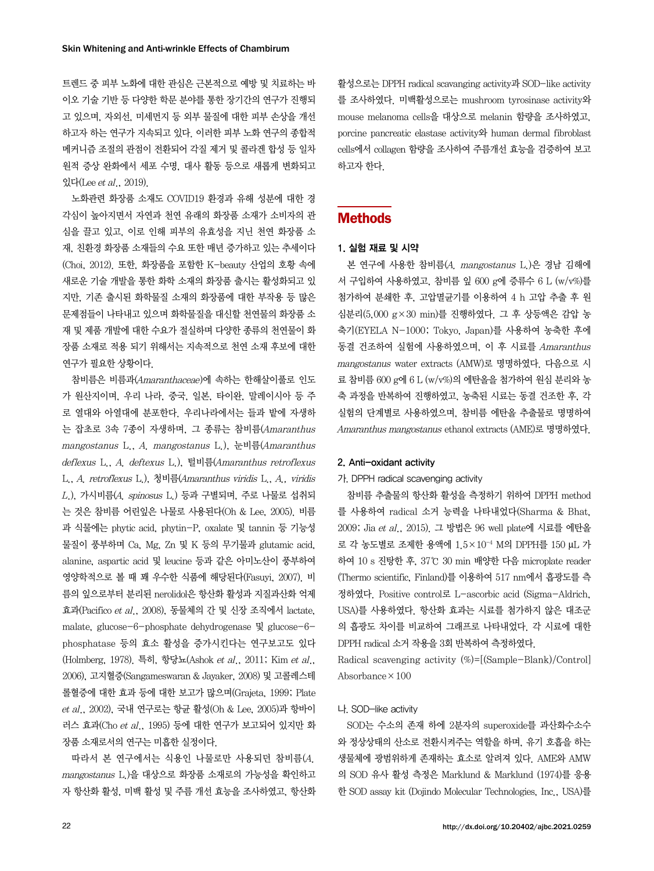트렌드 중 피부 노화에 대한 관심은 근본적으로 예방 및 치료하는 바 이오 기술 기반 등 다양한 학문 분야를 통한 장기간의 연구가 진행되 고 있으며, 자외선, 미세먼지 등 외부 물질에 대한 피부 손상을 개선 하고자 하는 연구가 지속되고 있다. 이러한 피부 노화 연구의 종합적 메커니즘 조절의 관점이 전환되어 각질 제거 및 콜라겐 합성 등 일차 원적 증상 완화에서 세포 수명, 대사 활동 등으로 새롭게 변화되고 있다 $(Lee et al., 2019).$ 

노화관련 화장품 소재도 COVID19 환경과 유해 성분에 대한 경 각심이 높아지면서 자연과 천연 유래의 화장품 소재가 소비자의 관 심을 끌고 있고, 이로 인해 피부의 유효성을 지닌 천연 화장품 소 재, 친환경 화장품 소재들의 수요 또한 매년 증가하고 있는 추세이다 (Choi, 2012). 또한, 화장품을 포함한 K-beauty 산업의 호황 속에 새로운 기술 개발을 통한 화학 소재의 화장품 출시는 활성화되고 있 지만, 기존 출시된 화학물질 소재의 화장품에 대한 부작용 등 많은 문제점들이 나타내고 있으며 화학물질을 대신할 천연물의 화장품 소 재 및 제품 개발에 대한 수요가 절실하며 다양한 종류의 천연물이 화 장품 소재로 적용 되기 위해서는 지속적으로 천연 소재 후보에 대한 연구가 필요한 상황이다.

참비름은 비름과(Amaranthaceae)에 속하는 한해살이풀로 인도 가 원산지이며, 우리 나라, 중국, 일본, 타이완, 말레이시아 등 주 로 열대와 아열대에 분포한다. 우리나라에서는 들과 밭에 자생하 는 잡초로 3속 7종이 자생하며, 그 종류는 참비름(Amaranthus mangostanus L., A. mangostanus L.), 눈비름(Amaranthus deflexus L., A. deftexus L.), 털비름(Amaranthus retroflexus L., A. retroflexus L.), 청비름(Amaranthus viridis L., A., viridis  $L$ .), 가시비름 $(A.$   $spinosus$   $L$ .) 등과 구별되며, 주로 나물로 섭취되 는 것은 참비름 어린잎은 나물로 사용된다(Oh & Lee, 2005). 비름 과 식물에는 phytic acid, phytin-P, oxalate 및 tannin 등 기능성 물질이 풍부하며 Ca, Mg, Zn 및 K 등의 무기물과 glutamic acid, alanine, aspartic acid 및 leucine 등과 같은 아미노산이 풍부하여 영양학적으로 볼 때 꽤 우수한 식품에 해당된다(Fasuyi, 2007). 비 름의 잎으로부터 분리된 nerolidol은 항산화 활성과 지질과산화 억제 효과(Pacifico et al., 2008), 동물체의 간 및 신장 조직에서 lactate, malate, glucose-6-phosphate dehydrogenase 및 glucose-6 phosphatase 등의 효소 활성을 증가시킨다는 연구보고도 있다 (Holmberg, 1978). 특히, 항당뇨(Ashok et al., 2011; Kim et al., 2006), 고지혈증(Sangameswaran & Jayaker, 2008) 및 고콜레스테 롤혈증에 대한 효과 등에 대한 보고가 많으며(Grajeta, 1999; Plate et al., 2002), 국내 연구로는 항균 활성(Oh & Lee, 2005)과 항바이 러스 효과(Cho et al., 1995) 등에 대한 연구가 보고되어 있지만 화 장품 소재로서의 연구는 미흡한 실정이다.

따라서 본 연구에서는 식용인 나물로만 사용되던 참비름(A. mangostanus L.)을 대상으로 화장품 소재로의 가능성을 확인하고 자 항산화 활성, 미백 활성 및 주름 개선 효능을 조사하였고, 항산화

활성으로는 DPPH radical scavanging activity과 SOD-like activity 를 조사하였다. 미백활성으로는 mushroom tyrosinase activity와 mouse melanoma cells을 대상으로 melanin 함량을 조사하였고, porcine pancreatic elastase activity와 human dermal fibroblast cells에서 collagen 함량을 조사하여 주름개선 효능을 검증하여 보고 하고자 한다.

# Methods

#### 1. 실험 재료 및 시약

본 연구에 사용한 참비름(A. mangostanus L.)은 경남 김해에 서 구입하여 사용하였고, 참비름 잎 600 g에 증류수 6 L (w/v%)를 첨가하여 분쇄한 후, 고압멸균기를 이용하여 4 h 고압 추출 후 원 심분리(5,000 g×30 min)를 진행하였다. 그 후 상등액은 감압 농 축기(EYELA N-1000; Tokyo, Japan)를 사용하여 농축한 후에 동결 건조하여 실험에 사용하였으며, 이 후 시료를 Amaranthus mangostanus water extracts (AMW)로 명명하였다. 다음으로 시 료 참비름 600 g에 6 L (w/v%)의 에탄올을 첨가하여 원심 분리와 농 축 과정을 반복하여 진행하였고, 농축된 시료는 동결 건조한 후, 각 실험의 단계별로 사용하였으며, 참비름 에탄올 추출물로 명명하여 Amaranthus mangostanus ethanol extracts (AME)로 명명하였다.

### 2. Anti-oxidant activity

#### 가. DPPH radical scavenging activity

참비름 추출물의 항산화 활성을 측정하기 위하여 DPPH method 를 사용하여 radical 소거 능력을 나타내었다(Sharma & Bhat, 2009; Jia et al., 2015). 그 방법은 96 well plate에 시료를 에탄올 로 각 농도별로 조제한 용액에 1.5×10-4 M의 DPPH를 150 μL 가 하여 10 s 진탕한 후, 37℃ 30 min 배양한 다음 microplate reader (Thermo scientific, Finland)를 이용하여 517 nm에서 흡광도를 측 정하였다. Positive control로 L-ascorbic acid (Sigma-Aldrich, USA)를 사용하였다. 항산화 효과는 시료를 첨가하지 않은 대조군 의 흡광도 차이를 비교하여 그래프로 나타내었다. 각 시료에 대한 DPPH radical 소거 작용을 3회 반복하여 측정하였다.

Radical scavenging activity (%)=[(Sample-Blank)/Control] Absorbance×100

#### 나. SOD-like activity

SOD는 수소의 존재 하에 2분자의 superoxide를 과산화수소수 와 정상상태의 산소로 전환시켜주는 역할을 하며, 유기 호흡을 하는 생물체에 광범위하게 존재하는 효소로 알려져 있다. AME와 AMW 의 SOD 유사 활성 측정은 Marklund & Marklund (1974)를 응용 한 SOD assay kit (Dojindo Molecular Technologies, Inc., USA)를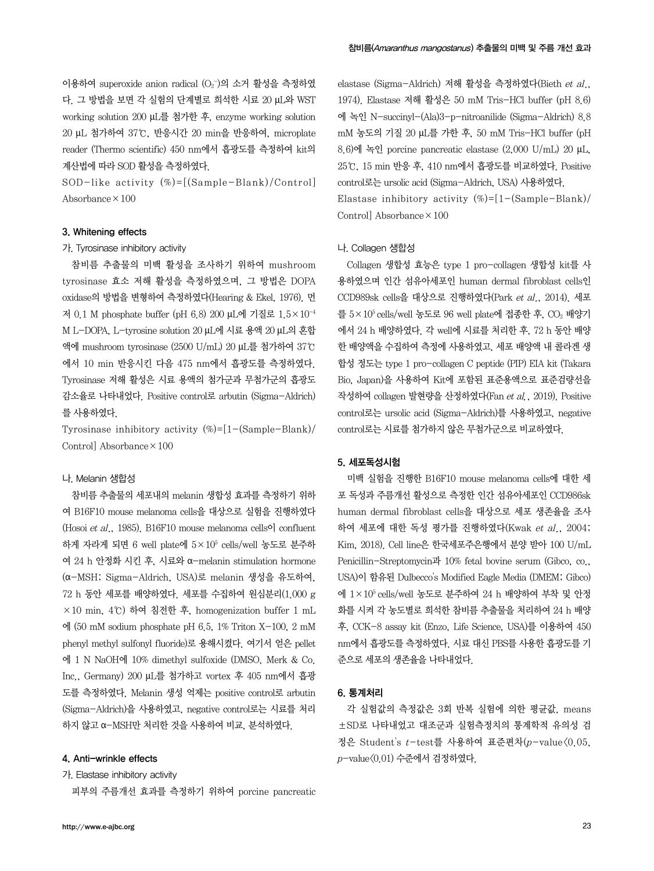이용하여 superoxide anion radical (O2¯)의 소거 활성을 측정하였 다. 그 방법을 보면 각 실험의 단계별로 희석한 시료 20 μL와 WST working solution 200 μL를 첨가한 후, enzyme working solution 20 μL 첨가하여 37℃, 반응시간 20 min을 반응하여, microplate reader (Thermo scientific) 450 nm에서 흡광도를 측정하여 kit의 계산법에 따라 SOD 활성을 측정하였다.

SOD-like activity  $(\%) = [(Sample-Blank)/Control]$ Absorbance  $\times 100$ 

### 3. Whitening effects

### 가. Tyrosinase inhibitory activity

참비름 추출물의 미백 활성을 조사하기 위하여 mushroom tyrosinase 효소 저해 활성을 측정하였으며, 그 방법은 DOPA oxidase의 방법을 변형하여 측정하였다(Hearing & Ekel, 1976). 먼 저 0.1 M phosphate buffer (pH 6.8) 200 μL에 기질로 1.5×10-4 M L-DOPA, L-tyrosine solution 20 μL에 시료 용액 20 μL의 혼합 액에 mushroom tyrosinase (2500 U/mL) 20 μL를 첨가하여 37℃ 에서 10 min 반응시킨 다음 475 nm에서 흡광도를 측정하였다. Tyrosinase 저해 활성은 시료 용액의 첨가군과 무첨가군의 흡광도 감소율로 나타내었다. Positive control로 arbutin (Sigma-Aldrich) 를 사용하였다.

Tyrosinase inhibitory activity  $(\%) = [1 - (Sample-Blank)]$ Control] Absorbance×100

#### 나. Melanin 생합성

참비름 추출물의 세포내의 melanin 생합성 효과를 측정하기 위하 여 B16F10 mouse melanoma cells을 대상으로 실험을 진행하였다 (Hosoi et al., 1985). B16F10 mouse melanoma cells<sup>o</sup>l confluent 하게 자라게 되면 6 well plate에  $5\times10^5$  cells/well 농도로 분주하 여 24 h 안정화 시킨 후, 시료와 α-melanin stimulation hormone (α-MSH; Sigma-Aldrich, USA)로 melanin 생성을 유도하여, 72 h 동안 세포를 배양하였다. 세포를 수집하여 원심분리(1.000 g ×10 min, 4℃) 하여 침전한 후, homogenization buffer 1 mL 에 (50 mM sodium phosphate pH 6.5, 1% Triton X-100, 2 mM phenyl methyl sulfonyl fluoride)로 용해시켰다. 여기서 얻은 pellet 에 1 N NaOH에 10% dimethyl sulfoxide (DMSO, Merk & Co. Inc., Germany) 200 μL를 첨가하고 vortex 후 405 nm에서 흡광 도를 측정하였다. Melanin 생성 억제는 positive control로 arbutin (Sigma-Aldrich)을 사용하였고, negative control로는 시료를 처리 하지 않고 α-MSH만 처리한 것을 사용하여 비교, 분석하였다.

# 4. Anti-wrinkle effects

가. Elastase inhibitory activity

피부의 주름개선 효과를 측정하기 위하여 porcine pancreatic

elastase (Sigma-Aldrich) 저해 활성을 측정하였다(Bieth et al., 1974). Elastase 저해 활성은 50 mM Tris-HCl buffer (pH 8.6) 에 녹인 N-succinyl-(Ala)3-p-nitroanilide (Sigma-Aldrich) 8.8 mM 농도의 기질 20 μL를 가한 후, 50 mM Tris-HCl buffer (pH 8.6)에 녹인 porcine pancreatic elastase (2,000 U/mL) 20 μL, 25℃, 15 min 반응 후, 410 nm에서 흡광도를 비교하였다. Positive control로는 ursolic acid (Sigma-Aldrich, USA) 사용하였다. Elastase inhibitory activity  $(\%) = [1 - (Sample-Blank)]$ 

Control] Absorbance×100

### 나. Collagen 생합성

Collagen 생합성 효능은 type 1 pro-collagen 생합성 kit를 사 용하였으며 인간 섬유아세포인 human dermal fibroblast cells인 CCD989sk cells을 대상으로 진행하였다(Park et al., 2014). 세포 를 5×105 cells/well 농도로 96 well plate에 접종한 후, CO2 배양기 에서 24 h 배양하였다. 각 well에 시료를 처리한 후, 72 h 동안 배양 한 배양액을 수집하여 측정에 사용하였고, 세포 배양액 내 콜라겐 생 합성 정도는 type 1 pro-collagen C peptide (PIP) EIA kit (Takara Bio, Japan)을 사용하여 Kit에 포함된 표준용액으로 표준검량선을 작성하여 collagen 발현량을 산정하였다(Fan et al., 2019). Positive control로는 ursolic acid (Sigma-Aldrich)를 사용하였고, negative control로는 시료를 첨가하지 않은 무첨가군으로 비교하였다.

### 5. 세포독성시험

미백 실험을 진행한 B16F10 mouse melanoma cells에 대한 세 포 독성과 주름개선 활성으로 측정한 인간 섬유아세포인 CCD986sk human dermal fibroblast cells을 대상으로 세포 생존율을 조사 하여 세포에 대한 독성 평가를 진행하였다(Kwak et al., 2004; Kim, 2018). Cell line은 한국세포주은행에서 분양 받아 100 U/mL Penicillin-Streptomycin과 10% fetal bovine serum (Gibco, co., USA)이 함유된 Dulbecco's Modified Eagle Media (DMEM; Gibco) 에 1×105 cells/well 농도로 분주하여 24 h 배양하여 부착 및 안정 화를 시켜 각 농도별로 희석한 참비름 추출물을 처리하여 24 h 배양 후, CCK-8 assay kit (Enzo, Life Science, USA)를 이용하여 450 nm에서 흡광도를 측정하였다. 시료 대신 PBS를 사용한 흡광도를 기 준으로 세포의 생존율을 나타내었다.

#### 6. 통계처리

각 실험값의 측정값은 3회 반복 실험에 의한 평균값, means ±SD로 나타내었고 대조군과 실험측정치의 통계학적 유의성 검 정은 Student's t-test를 사용하여 표준편차(p-value<0.05,  $p$ -value $(0.01)$  수준에서 검정하였다.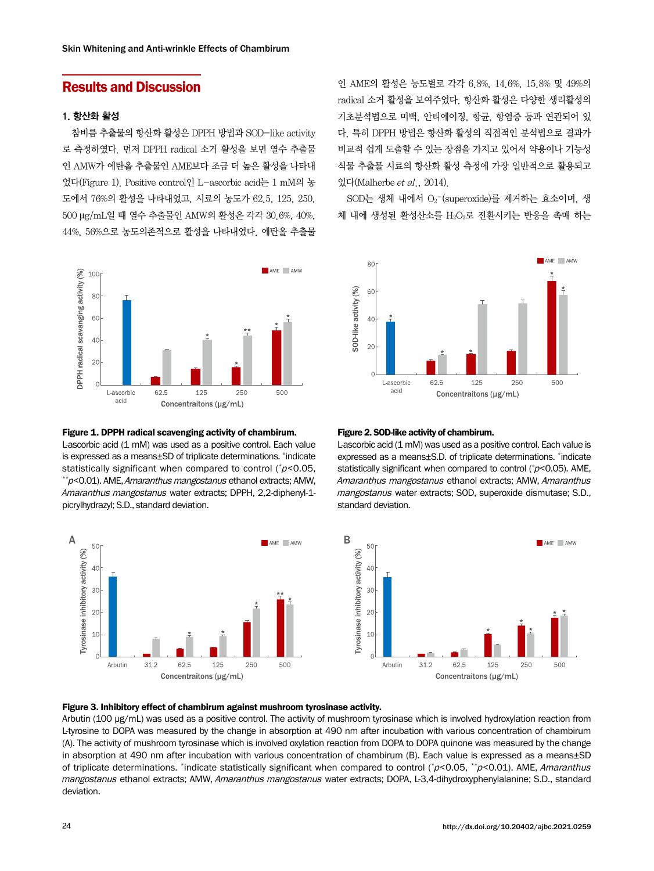# Results and Discussion

### 1. 항산화 활성

참비름 추출물의 항산화 활성은 DPPH 방법과 SOD-like activity 로 측정하였다. 먼저 DPPH radical 소거 활성을 보면 열수 추출물 인 AMW가 에탄올 추출물인 AME보다 조금 더 높은 활성을 나타내 었다(Figure 1). Positive control인 L-ascorbic acid는 1 mM의 농 도에서 76%의 활성을 나타내었고, 시료의 농도가 62.5, 125, 250, 500 μg/mL일 때 열수 추출물인 AMW의 활성은 각각 30.6%, 40%, 44%, 56%으로 농도의존적으로 활성을 나타내었다. 에탄올 추출물



#### Figure 1. DPPH radical scavenging activity of chambirum.

L-ascorbic acid (1 mM) was used as a positive control. Each value is expressed as a means±SD of triplicate determinations. \* indicate statistically significant when compared to control ( $p$ <0.05, <sup>p</sup><0.05, \*\*p<0.01). AME, Amaranthus mangostanus ethanol extracts; AMW, Amaranthus mangostanus water extracts; DPPH, 2,2-diphenyl-1picrylhydrazyl; S.D., standard deviation.



인 AME의 활성은 농도별로 각각 6.8%, 14.6%, 15.8% 및 49%의 radical 소거 활성을 보여주었다. 항산화 활성은 다양한 생리활성의 기초분석법으로 미백, 안티에이징, 항균, 항염증 등과 연관되어 있 다. 특히 DPPH 방법은 항산화 활성의 직접적인 분석법으로 결과가 비교적 쉽게 도출할 수 있는 장점을 가지고 있어서 약용이나 기능성 식물 추출물 시료의 항산화 활성 측정에 가장 일반적으로 활용되고 있다(Malherbe et al., 2014).

SOD는 생체 내에서 O2 -(superoxide)를 제거하는 효소이며, 생 체 내에 생성된 활성산소를 H2O2로 전환시키는 반응을 촉매 하는



#### Figure 2. SOD-like activity of chambirum.

L-ascorbic acid (1 mM) was used as a positive control. Each value is expressed as a means±S.D. of triplicate determinations. \* indicate statistically significant when compared to control  $(*p<0.05)$ . AME, Amaranthus mangostanus ethanol extracts; AMW, Amaranthus mangostanus water extracts; SOD, superoxide dismutase; S.D., standard deviation.



#### Figure 3. Inhibitory effect of chambirum against mushroom tyrosinase activity.

Arbutin (100 μg/mL) was used as a positive control. The activity of mushroom tyrosinase which is involved hydroxylation reaction from L-tyrosine to DOPA was measured by the change in absorption at 490 nm after incubation with various concentration of chambirum (A). The activity of mushroom tyrosinase which is involved oxylation reaction from DOPA to DOPA quinone was measured by the change in absorption at 490 nm after incubation with various concentration of chambirum (B). Each value is expressed as a means±SD of triplicate determinations. \*indicate statistically significant when compared to control (\*p<0.05, \*\*p<0.01). AME, Amaranthus mangostanus ethanol extracts; AMW, Amaranthus mangostanus water extracts; DOPA, L-3,4-dihydroxyphenylalanine; S.D., standard deviation.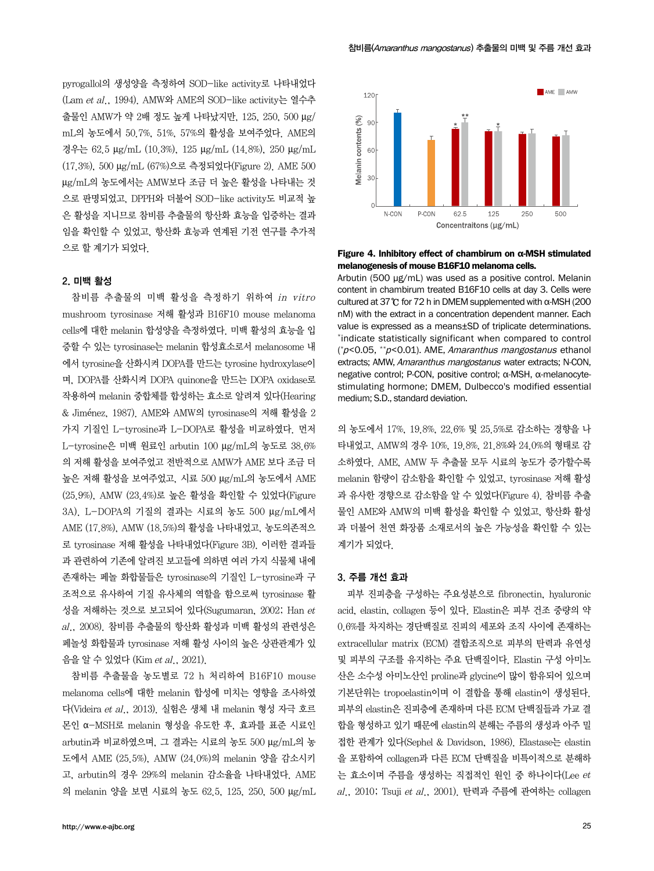pyrogallol의 생성양을 측정하여 SOD-like activity로 나타내었다 (Lam et al., 1994). AMW와 AME의 SOD-like activity는 열수추 출물인 AMW가 약 2배 정도 높게 나타났지만, 125, 250, 500 μg/ mL의 농도에서 50.7%, 51%, 57%의 활성을 보여주었다. AME의 경우는 62.5 μg/mL (10.3%), 125 μg/mL (14.8%), 250 μg/mL (17.3%), 500 μg/mL (67%)으로 측정되었다(Figure 2). AME 500 μg/mL의 농도에서는 AMW보다 조금 더 높은 활성을 나타내는 것 으로 판명되었고, DPPH와 더불어 SOD-like activity도 비교적 높 은 활성을 지니므로 참비름 추출물의 항산화 효능을 입증하는 결과 임을 확인할 수 있었고, 항산화 효능과 연계된 기전 연구를 추가적 으로 할 계기가 되었다.

#### 2. 미백 활성

참비름 추출물의 미백 활성을 측정하기 위하여 in vitro mushroom tyrosinase 저해 활성과 B16F10 mouse melanoma cells에 대한 melanin 합성양을 측정하였다. 미백 활성의 효능을 입 증할 수 있는 tyrosinase는 melanin 합성효소로서 melanosome 내 에서 tyrosine을 산화시켜 DOPA를 만드는 tyrosine hydroxylase이 며, DOPA를 산화시켜 DOPA quinone을 만드는 DOPA oxidase로 작용하여 melanin 중합체를 합성하는 효소로 알려져 있다(Hearing & Jiménez, 1987). AME와 AMW의 tyrosinase의 저해 활성을 2 가지 기질인 L-tyrosine과 L-DOPA로 활성을 비교하였다. 먼저 L-tyrosine은 미백 원료인 arbutin 100 μg/mL의 농도로 38.6% 의 저해 활성을 보여주었고 전반적으로 AMW가 AME 보다 조금 더 높은 저해 활성을 보여주었고, 시료 500 μg/mL의 농도에서 AME (25.9%), AMW (23.4%)로 높은 활성을 확인할 수 있었다(Figure 3A). L-DOPA의 기질의 결과는 시료의 농도 500 μg/mL에서 AME (17.8%), AMW (18.5%)의 활성을 나타내었고, 농도의존적으 로 tyrosinase 저해 활성을 나타내었다(Figure 3B). 이러한 결과들 과 관련하여 기존에 알려진 보고들에 의하면 여러 가지 식물체 내에 존재하는 페놀 화합물들은 tyrosinase의 기질인 L-tyrosine과 구 조적으로 유사하여 기질 유사체의 역할을 함으로써 tyrosinase 활 성을 저해하는 것으로 보고되어 있다(Sugumaran, 2002; Han et  $al$ .,  $2008$ ). 참비름 추출물의 항산화 활성과 미백 활성의 관련성은 페놀성 화합물과 tyrosinase 저해 활성 사이의 높은 상관관계가 있 음을 알 수 있었다 (Kim et al., 2021).

참비름 추출물을 농도별로 72 h 처리하여 B16F10 mouse melanoma cells에 대한 melanin 합성에 미치는 영향을 조사하였 다(Videira et al., 2013). 실험은 생체 내 melanin 형성 자극 호르 몬인 α-MSH로 melanin 형성을 유도한 후, 효과를 표준 시료인 arbutin과 비교하였으며, 그 결과는 시료의 농도 500 μg/mL의 농 도에서 AME (25.5%), AMW (24.0%)의 melanin 양을 감소시키 고, arbutin의 경우 29%의 melanin 감소율을 나타내었다. AME 의 melanin 양을 보면 시료의 농도 62.5, 125, 250, 500 μg/mL



#### Figure 4. Inhibitory effect of chambirum on α-MSH stimulated melanogenesis of mouse B16F10 melanoma cells.

Arbutin (500 μg/mL) was used as a positive control. Melanin content in chambirum treated B16F10 cells at day 3. Cells were cultured at 37℃ for 72 h in DMEM supplemented with α-MSH (200 nM) with the extract in a concentration dependent manner. Each value is expressed as a means±SD of triplicate determinations. \*indicate statistically significant when compared to control (*\*p*<0.05, \*\**p*<0.01). AME, *Amaranthus mangostanus* ethanol extracts; AMW, Amaranthus mangostanus water extracts; N-CON, negative control; P-CON, positive control; α-MSH, α-melanocytestimulating hormone; DMEM, Dulbecco's modified essential medium; S.D., standard deviation.

의 농도에서 17%, 19.8%, 22.6% 및 25.5%로 감소하는 경향을 나 타내었고, AMW의 경우 10%, 19.8%, 21.8%와 24.0%의 형태로 감 소하였다. AME, AMW 두 추출물 모두 시료의 농도가 증가할수록 melanin 함량이 감소함을 확인할 수 있었고, tyrosinase 저해 활성 과 유사한 경향으로 감소함을 알 수 있었다(Figure 4). 참비름 추출 물인 AME와 AMW의 미백 활성을 확인할 수 있었고, 항산화 활성 과 더불어 천연 화장품 소재로서의 높은 가능성을 확인할 수 있는 계기가 되었다.

#### 3. 주름 개선 효과

피부 진피층을 구성하는 주요성분으로 fibronectin, hyaluronic acid, elastin, collagen 등이 있다. Elastin은 피부 건조 중량의 약 0.6%를 차지하는 경단백질로 진피의 세포와 조직 사이에 존재하는 extracellular matrix (ECM) 결합조직으로 피부의 탄력과 유연성 및 피부의 구조를 유지하는 주요 단백질이다. Elastin 구성 아미노 산은 소수성 아미노산인 proline과 glycine이 많이 함유되어 있으며 기본단위는 tropoelastin이며 이 결합을 통해 elastin이 생성된다. 피부의 elastin은 진피층에 존재하며 다른 ECM 단백질들과 가교 결 합을 형성하고 있기 때문에 elastin의 분해는 주름의 생성과 아주 밀 접한 관계가 있다(Sephel & Davidson, 1986). Elastase는 elastin 을 포함하여 collagen과 다른 ECM 단백질을 비특이적으로 분해하 는 효소이며 주름을 생성하는 직접적인 원인 중 하나이다(Lee et al., 2010; Tsuji et al., 2001). 탄력과 주름에 관여하는 collagen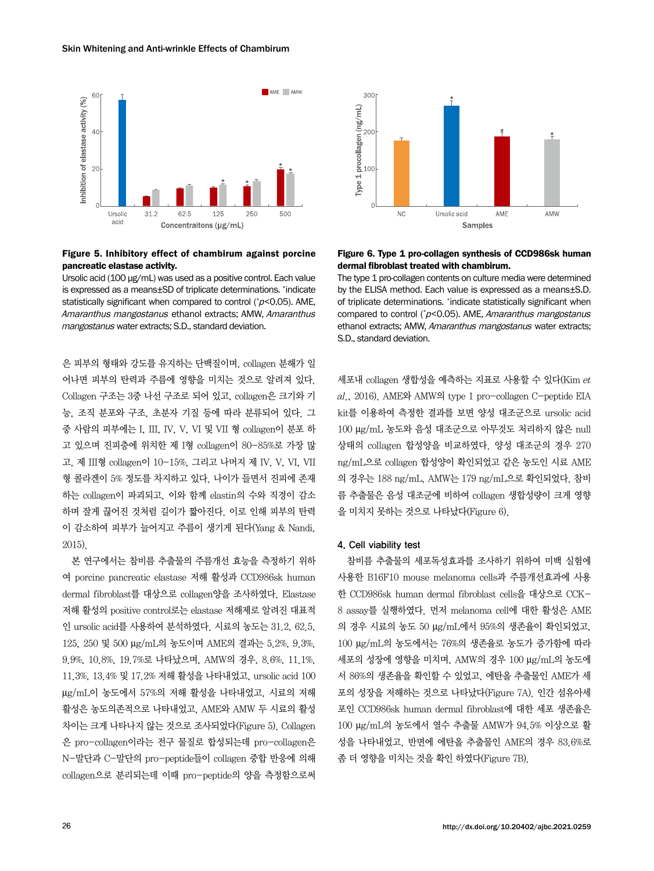

### Figure 5. Inhibitory effect of chambirum against porcine pancreatic elastase activity.

Ursolic acid (100 μg/mL) was used as a positive control. Each value is expressed as a means±SD of triplicate determinations. \* indicate statistically significant when compared to control (\*p<0.05). AME, Amaranthus mangostanus ethanol extracts; AMW, Amaranthus mangostanus water extracts; S.D., standard deviation.

은 피부의 형태와 강도를 유지하는 단백질이며, collagen 분해가 일 어나면 피부의 탄력과 주름에 영향을 미치는 것으로 알려져 있다. Collagen 구조는 3중 나선 구조로 되어 있고, collagen은 크기와 기 능, 조직 분포와 구조, 초분자 기질 등에 따라 분류되어 있다. 그 중 사람의 피부에는 I, III, IV, V, VI 및 VII 형 collagen이 분포 하 고 있으며 진피층에 위치한 제 I형 collagen이 80-85%로 가장 많 고, 제 III형 collagen이 10-15%, 그리고 나머지 제 IV, V, VI, VII 형 콜라겐이 5% 정도를 차지하고 있다. 나이가 들면서 진피에 존재 하는 collagen이 파괴되고, 이와 함께 elastin의 수와 직경이 감소 하며 잘게 끊어진 것처럼 길이가 짧아진다. 이로 인해 피부의 탄력 이 감소하여 피부가 늘어지고 주름이 생기게 된다(Yang & Nandi, 2015).

본 연구에서는 참비름 추출물의 주름개선 효능을 측정하기 위하 여 porcine pancreatic elastase 저해 활성과 CCD986sk human dermal fibroblast를 대상으로 collagen양을 조사하였다. Elastase 저해 활성의 positive control로는 elastase 저해제로 알려진 대표적 인 ursolic acid를 사용하여 분석하였다. 시료의 농도는 31.2, 62.5, 125, 250 및 500 μg/mL의 농도이며 AME의 결과는 5.2%, 9.3%, 9.9%, 10.8%, 19.7%로 나타났으며, AMW의 경우, 8.6%, 11.1%, 11.3%, 13.4% 및 17.2% 저해 활성을 나타내었고, ursolic acid 100 μg/mL이 농도에서 57%의 저해 활성을 나타내었고, 시료의 저해 활성은 농도의존적으로 나타내었고, AME와 AMW 두 시료의 활성 차이는 크게 나타나지 않는 것으로 조사되었다(Figure 5). Collagen 은 pro-collagen이라는 전구 물질로 합성되는데 pro-collagen은 N-말단과 C-말단의 pro-peptide들이 collagen 중합 반응에 의해 collagen으로 분리되는데 이때 pro-peptide의 양을 측정함으로써



Figure 6. Type 1 pro-collagen synthesis of CCD986sk human dermal fibroblast treated with chambirum.

The type 1 pro-collagen contents on culture media were determined by the ELISA method. Each value is expressed as a means±S.D. of triplicate determinations. \* indicate statistically significant when compared to control (\*p<0.05). AME, Amaranthus mangostanus ethanol extracts: AMW, Amaranthus mangostanus water extracts: S.D., standard deviation.

 $\lambda$ 세포내 collagen 생합성을 예측하는 지표로 사용할 수 있다(Kim et al., 2016). AME와 AMW의 type 1 pro-collagen C-peptide EIA kit를 이용하여 측정한 결과를 보면 양성 대조군으로 ursolic acid 100 μg/mL 농도와 음성 대조군으로 아무것도 처리하지 않은 null 상태의 collagen 합성양을 비교하였다. 양성 대조군의 경우 270 ng/mL으로 collagen 합성양이 확인되었고 같은 농도인 시료 AME 의 경우는 188 ng/mL, AMW는 179 ng/mL으로 확인되었다. 참비 름 추출물은 음성 대조군에 비하여 collagen 생합성량이 크게 영향 을 미치지 못하는 것으로 나타났다(Figure 6).

#### 4. Cell viability test

참비름 추출물의 세포독성효과를 조사하기 위하여 미백 실험에 사용한 B16F10 mouse melanoma cells과 주름개선효과에 사용 한 CCD986sk human dermal fibroblast cells을 대상으로 CCK-8 assay를 실행하였다. 먼저 melanoma cell에 대한 활성은 AME 의 경우 시료의 농도 50 μg/mL에서 95%의 생존율이 확인되었고, 100 μg/mL의 농도에서는 76%의 생존율로 농도가 증가함에 따라 세포의 성장에 영향을 미치며, AMW의 경우 100 μg/mL의 농도에 서 86%의 생존율을 확인할 수 있었고, 에탄올 추출물인 AME가 세 포의 성장을 저해하는 것으로 나타났다(Figure 7A). 인간 섬유아세 포인 CCD986sk human dermal fibroblast에 대한 세포 생존율은 100 μg/mL의 농도에서 열수 추출물 AMW가 94.5% 이상으로 활 성을 나타내었고, 반면에 에탄올 추출물인 AME의 경우 83.6%로 좀 더 영향을 미치는 것을 확인 하였다(Figure 7B).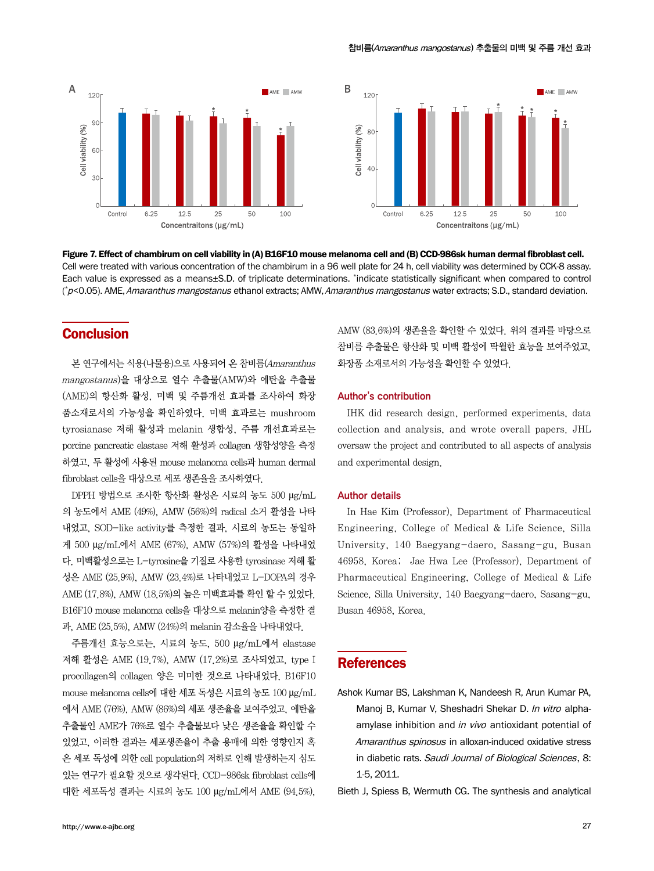



Figure 7. Effect of chambirum on cell viability in (A) B16F10 mouse melanoma cell and (B) CCD-986sk human dermal fibroblast cell. Cell were treated with various concentration of the chambirum in a 96 well plate for 24 h, cell viability was determined by CCK-8 assay. Each value is expressed as a means±S.D. of triplicate determinations. \*indicate statistically significant when compared to control (\*p<0.05). AME, *Amaranthus mangostanus* ethanol extracts; AMW, *Amaranthus mangostanus w*ater extracts; S.D., standard deviation.

# **Conclusion**

본 연구에서는 식용(나물용)으로 사용되어 온 참비름(Amaranthus mangostanus)을 대상으로 열수 추출물(AMW)와 에탄올 추출물 (AME)의 항산화 활성, 미백 및 주름개선 효과를 조사하여 화장 품소재로서의 가능성을 확인하였다. 미백 효과로는 mushroom tyrosianase 저해 활성과 melanin 생합성, 주름 개선효과로는 porcine pancreatic elastase 저해 활성과 collagen 생합성양을 측정 하였고, 두 활성에 사용된 mouse melanoma cells과 human dermal fibroblast cells을 대상으로 세포 생존율을 조사하였다.

DPPH 방법으로 조사한 항산화 활성은 시료의 농도 500 μg/mL 의 농도에서 AME (49%), AMW (56%)의 radical 소거 활성을 나타 내었고, SOD-like activity를 측정한 결과, 시료의 농도는 동일하 게 500 μg/mL에서 AME (67%), AMW (57%)의 활성을 나타내었 다. 미백활성으로는 L-tyrosine을 기질로 사용한 tyrosinase 저해 활 성은 AME (25.9%), AMW (23.4%)로 나타내었고 L-DOPA의 경우 AME (17.8%), AMW (18.5%)의 높은 미백효과를 확인 할 수 있었다. B16F10 mouse melanoma cells을 대상으로 melanin양을 측정한 결 과, AME (25.5%), AMW (24%)의 melanin 감소율을 나타내었다.

주름개선 효능으로는, 시료의 농도, 500 μg/mL에서 elastase 저해 활성은 AME (19.7%), AMW (17.2%)로 조사되었고, type I procollagen의 collagen 양은 미미한 것으로 나타내었다. B16F10 mouse melanoma cells에 대한 세포 독성은 시료의 농도 100 μg/mL 에서 AME (76%), AMW (86%)의 세포 생존율을 보여주었고, 에탄올 추출물인 AME가 76%로 열수 추출물보다 낮은 생존율을 확인할 수 있었고, 이러한 결과는 세포생존율이 추출 용매에 의한 영향인지 혹 은 세포 독성에 의한 cell population의 저하로 인해 발생하는지 심도 있는 연구가 필요할 것으로 생각된다. CCD-986sk fibroblast cells에 대한 세포독성 결과는 시료의 농도 100 μg/mL에서 AME (94.5%),

AMW (83.6%)의 생존율을 확인할 수 있었다. 위의 결과를 바탕으로 참비름 추출물은 항산화 및 미백 활성에 탁월한 효능을 보여주었고, 화장품 소재로서의 가능성을 확인할 수 있었다.

#### Author's contribution

IHK did research design, performed experiments, data collection and analysis, and wrote overall papers. JHL oversaw the project and contributed to all aspects of analysis and experimental design.

#### Author details

In Hae Kim (Professor), Department of Pharmaceutical Engineering, College of Medical & Life Science, Silla University, 140 Baegyang-daero, Sasang-gu, Busan 46958, Korea; Jae Hwa Lee (Professor), Department of Pharmaceutical Engineering, College of Medical & Life Science, Silla University, 140 Baegyang-daero, Sasang-gu, Busan 46958, Korea.

# **References**

Ashok Kumar BS, Lakshman K, Nandeesh R, Arun Kumar PA, Manoj B, Kumar V, Sheshadri Shekar D. In vitro alphaamylase inhibition and in vivo antioxidant potential of Amaranthus spinosus in alloxan-induced oxidative stress in diabetic rats. Saudi Journal of Biological Sciences, 8: 1-5, 2011.

Bieth J, Spiess B, Wermuth CG. The synthesis and analytical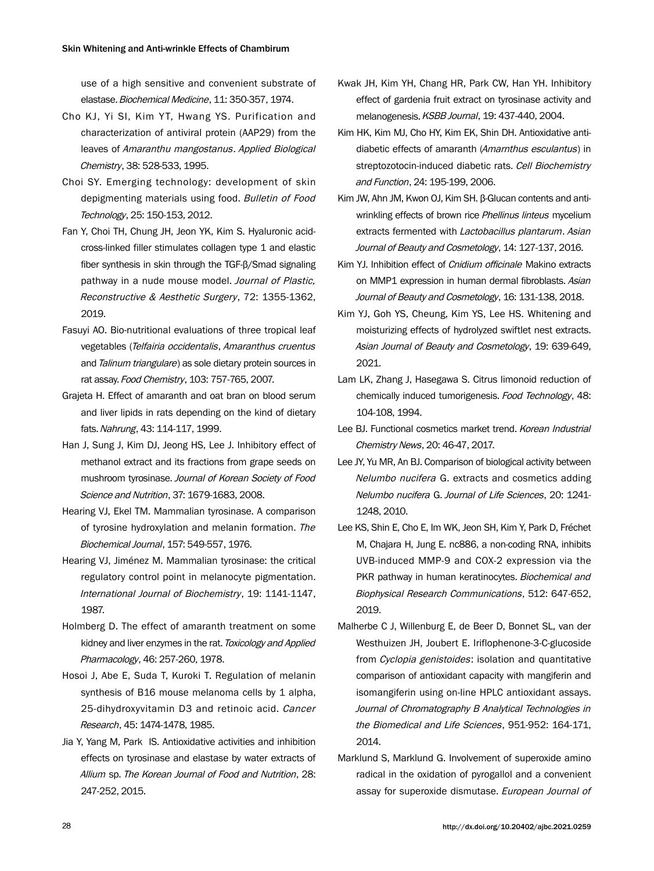use of a high sensitive and convenient substrate of elastase. Biochemical Medicine, 11: 350-357, 1974.

- Cho KJ, Yi SI, Kim YT, Hwang YS. Purification and characterization of antiviral protein (AAP29) from the leaves of Amaranthu mangostanus. Applied Biological Chemistry, 38: 528-533, 1995.
- Choi SY. Emerging technology: development of skin depigmenting materials using food. Bulletin of Food Technology, 25: 150-153, 2012.
- Fan Y, Choi TH, Chung JH, Jeon YK, Kim S. Hyaluronic acidcross-linked filler stimulates collagen type 1 and elastic fiber synthesis in skin through the TGF-β/Smad signaling pathway in a nude mouse model. Journal of Plastic, Reconstructive & Aesthetic Surgery, 72: 1355-1362, 2019.
- Fasuyi AO. Bio-nutritional evaluations of three tropical leaf vegetables (Telfairia occidentalis, Amaranthus cruentus and Talinum triangulare) as sole dietary protein sources in rat assay. Food Chemistry, 103: 757-765, 2007.
- Grajeta H. Effect of amaranth and oat bran on blood serum and liver lipids in rats depending on the kind of dietary fats. Nahrung, 43: 114-117, 1999.
- Han J, Sung J, Kim DJ, Jeong HS, Lee J. Inhibitory effect of methanol extract and its fractions from grape seeds on mushroom tyrosinase. Journal of Korean Society of Food Science and Nutrition, 37: 1679-1683, 2008.
- Hearing VJ, Ekel TM. Mammalian tyrosinase. A comparison of tyrosine hydroxylation and melanin formation. The Biochemical Journal, 157: 549-557, 1976.
- Hearing VJ, Jiménez M. Mammalian tyrosinase: the critical regulatory control point in melanocyte pigmentation. International Journal of Biochemistry, 19: 1141-1147, 1987.
- Holmberg D. The effect of amaranth treatment on some kidney and liver enzymes in the rat. Toxicology and Applied Pharmacology, 46: 257-260, 1978.
- Hosoi J, Abe E, Suda T, Kuroki T. Regulation of melanin synthesis of B16 mouse melanoma cells by 1 alpha, 25-dihydroxyvitamin D3 and retinoic acid. Cancer Research, 45: 1474-1478, 1985.
- Jia Y, Yang M, Park IS. Antioxidative activities and inhibition effects on tyrosinase and elastase by water extracts of Allium sp. The Korean Journal of Food and Nutrition, 28: 247-252, 2015.
- Kwak JH, Kim YH, Chang HR, Park CW, Han YH. Inhibitory effect of gardenia fruit extract on tyrosinase activity and melanogenesis. KSBB Journal, 19: 437-440, 2004.
- Kim HK, Kim MJ, Cho HY, Kim EK, Shin DH. Antioxidative antidiabetic effects of amaranth (Amarnthus esculantus) in streptozotocin-induced diabetic rats. Cell Biochemistry and Function, 24: 195-199, 2006.
- Kim JW, Ahn JM, Kwon OJ, Kim SH. β-Glucan contents and antiwrinkling effects of brown rice Phellinus linteus mycelium extracts fermented with Lactobacillus plantarum. Asian Journal of Beauty and Cosmetology, 14: 127-137, 2016.
- Kim YJ. Inhibition effect of *Cnidium officinale* Makino extracts on MMP1 expression in human dermal fibroblasts. Asian Journal of Beauty and Cosmetology, 16: 131-138, 2018.
- Kim YJ, Goh YS, Cheung, Kim YS, Lee HS. Whitening and moisturizing effects of hydrolyzed swiftlet nest extracts. Asian Journal of Beauty and Cosmetology, 19: 639-649, 2021.
- Lam LK, Zhang J, Hasegawa S. Citrus limonoid reduction of chemically induced tumorigenesis. Food Technology, 48: 104-108, 1994.
- Lee BJ. Functional cosmetics market trend. Korean Industrial Chemistry News, 20: 46-47, 2017.
- Lee JY, Yu MR, An BJ. Comparison of biological activity between Nelumbo nucifera G. extracts and cosmetics adding Nelumbo nucifera G. Journal of Life Sciences, 20: 1241- 1248, 2010.
- Lee KS, Shin E, Cho E, Im WK, Jeon SH, Kim Y, Park D, Fréchet M, Chajara H, Jung E. nc886, a non-coding RNA, inhibits UVB-induced MMP-9 and COX-2 expression via the PKR pathway in human keratinocytes. Biochemical and Biophysical Research Communications, 512: 647-652, 2019.
- Malherbe C J, Willenburg E, de Beer D, Bonnet SL, van der Westhuizen JH, Joubert E. Iriflophenone-3-C-glucoside from Cyclopia genistoides: isolation and quantitative comparison of antioxidant capacity with mangiferin and isomangiferin using on-line HPLC antioxidant assays. Journal of Chromatography B Analytical Technologies in the Biomedical and Life Sciences, 951-952: 164-171, 2014.
- Marklund S, Marklund G. Involvement of superoxide amino radical in the oxidation of pyrogallol and a convenient assay for superoxide dismutase. European Journal of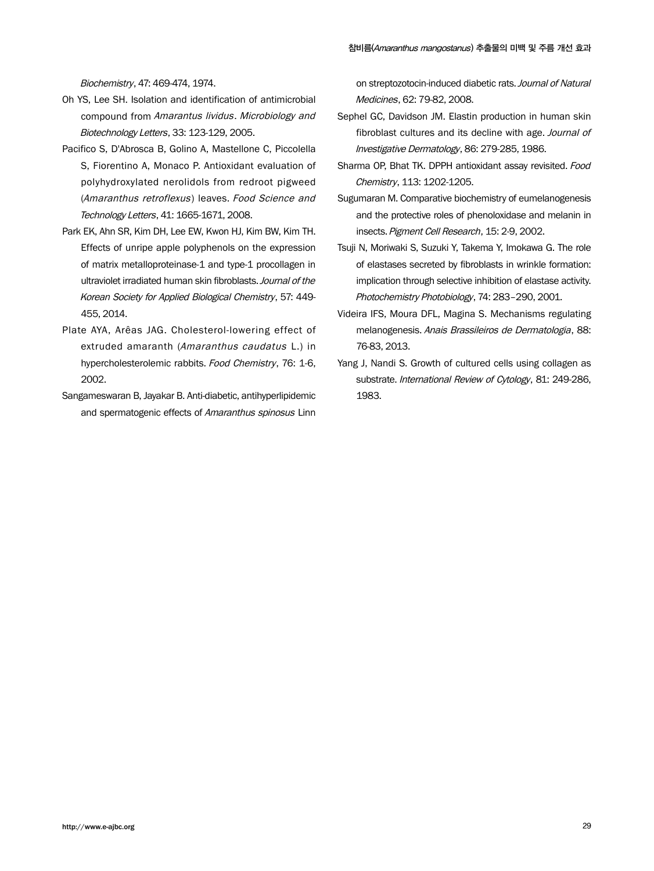Biochemistry, 47: 469-474, 1974.

- Oh YS, Lee SH. Isolation and identification of antimicrobial compound from Amarantus lividus. Microbiology and Biotechnology Letters, 33: 123-129, 2005.
- Pacifico S, D'Abrosca B, Golino A, Mastellone C, Piccolella S, Fiorentino A, Monaco P. Antioxidant evaluation of polyhydroxylated nerolidols from redroot pigweed (Amaranthus retroflexus) leaves. Food Science and Technology Letters, 41: 1665-1671, 2008.
- Park EK, Ahn SR, Kim DH, Lee EW, Kwon HJ, Kim BW, Kim TH. Effects of unripe apple polyphenols on the expression of matrix metalloproteinase-1 and type-1 procollagen in ultraviolet irradiated human skin fibroblasts. Journal of the Korean Society for Applied Biological Chemistry, 57: 449- 455, 2014.
- Plate AYA, Arêas JAG. Cholesterol-lowering effect of extruded amaranth (Amaranthus caudatus L.) in hypercholesterolemic rabbits. Food Chemistry, 76: 1-6, 2002.
- Sangameswaran B, Jayakar B. Anti-diabetic, antihyperlipidemic and spermatogenic effects of Amaranthus spinosus Linn

on streptozotocin-induced diabetic rats. Journal of Natural Medicines, 62: 79-82, 2008.

- Sephel GC, Davidson JM. Elastin production in human skin fibroblast cultures and its decline with age. Journal of Investigative Dermatology, 86: 279-285, 1986.
- Sharma OP, Bhat TK. DPPH antioxidant assay revisited. Food Chemistry, 113: 1202-1205.
- Sugumaran M. Comparative biochemistry of eumelanogenesis and the protective roles of phenoloxidase and melanin in insects. Pigment Cell Research, 15: 2-9, 2002.
- Tsuji N, Moriwaki S, Suzuki Y, Takema Y, Imokawa G. The role of elastases secreted by fibroblasts in wrinkle formation: implication through selective inhibition of elastase activity. Photochemistry Photobiology, 74: 283–290, 2001.
- Videira IFS, Moura DFL, Magina S. Mechanisms regulating melanogenesis. Anais Brassileiros de Dermatologia, 88: 76-83, 2013.
- Yang J, Nandi S. Growth of cultured cells using collagen as substrate. International Review of Cytology, 81: 249-286, 1983.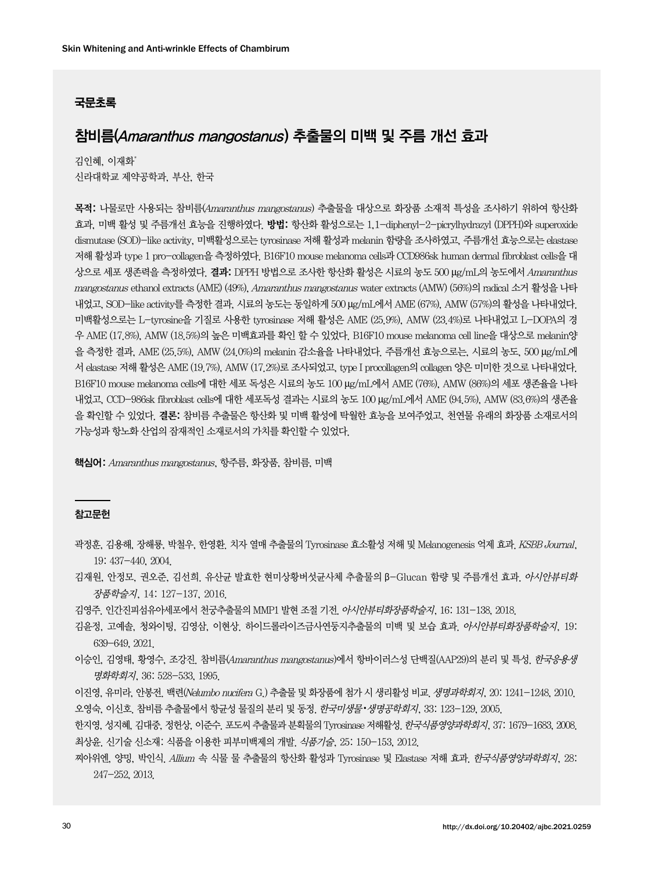### 국문초록

# 참비름(Amaranthus mangostanus) 추출물의 미백 및 주름 개선 효과

김인혜, 이재화\* 신라대학교 제약공학과, 부산, 한국

목적: 나물로만 사용되는 참비름(Amaranthus mangostanus) 추출물을 대상으로 화장품 소재적 특성을 조사하기 위하여 항산화 효과, 미백 활성 및 주름개선 효능을 진행하였다. 방법: 항산화 활성으로는 1,1-diphenyl-2-picrylhydrazyl (DPPH)와 superoxide dismutase (SOD)-like activity, 미백활성으로는 tyrosinase 저해 활성과 melanin 함량을 조사하였고, 주름개선 효능으로는 elastase 저해 활성과 type 1 pro-collagen을 측정하였다. B16F10 mouse melanoma cells과 CCD986sk human dermal fibroblast cells을 대 상으로 세포 생존력을 측정하였다. 결과: DPPH 방법으로 조사한 항산화 활성은 시료의 농도 500 μg/mL의 농도에서 Amaranthus mangostanus ethanol extracts (AME) (49%), Amaranthus mangostanus water extracts (AMW) (56%)의 radical 소거 활성을 나타 내었고, SOD-like activity를 측정한 결과, 시료의 농도는 동일하게 500 μg/mL에서 AME (67%), AMW (57%)의 활성을 나타내었다. 미백활성으로는 L-tyrosine을 기질로 사용한 tyrosinase 저해 활성은 AME (25.9%), AMW (23.4%)로 나타내었고 L-DOPA의 경 우 AME (17.8%), AMW (18.5%)의 높은 미백효과를 확인 할 수 있었다. B16F10 mouse melanoma cell line을 대상으로 melanin양 을 측정한 결과, AME (25.5%), AMW (24.0%)의 melanin 감소율을 나타내었다. 주름개선 효능으로는, 시료의 농도, 500 μg/mL에 서 elastase 저해 활성은 AME (19.7%), AMW (17.2%)로 조사되었고, type I procollagen의 collagen 양은 미미한 것으로 나타내었다. B16F10 mouse melanoma cells에 대한 세포 독성은 시료의 농도 100 μg/mL에서 AME (76%), AMW (86%)의 세포 생존율을 나타 내었고, CCD-986sk fibroblast cells에 대한 세포독성 결과는 시료의 농도 100 μg/mL에서 AME (94.5%), AMW (83.6%)의 생존율 을 확인할 수 있었다. 결론: 참비름 추출물은 항산화 및 미백 활성에 탁월한 효능을 보여주었고, 천연물 유래의 화장품 소재로서의 가능성과 항노화 산업의 잠재적인 소재로서의 가치를 확인할 수 있었다.

핵심어: Amaranthus mangostanus, 항주름, 화장품, 참비름, 미백

#### 참고문헌

- 곽정훈, 김용해, 장해룡, 박철우, 한영환. 치자 열매 추출물의 Tyrosinase 효소활성 저해 및 Melanogenesis 억제 효과. KSBB Journal, 19: 437-440, 2004.
- 김재원, 안정모, 권오준, 김선희. 유산균 발효한 현미상황버섯균사체 추출물의 β-Glucan 함량 및 주름개선 효과. 아시안뷰티화 장품학술지, 14: 127-137, 2016.
- 김영주. 인간진피섬유아세포에서 천궁추출물의 MMP1 발현 조절 기전. 아시안뷰티화장품학술지, 16: 131-138, 2018.
- 김윤정, 고예솔, 청와이팅, 김영삼, 이현상. 하이드롤라이즈금사연둥지추출물의 미백 및 보습 효과. 아시안뷰티화장품학술지, 19: 639-649, 2021.
- 이승인, 김영태, 황영수, 조강진. 참비름(Amaranthus mangostanus)에서 항바이러스성 단백질(AAP29)의 분리 및 특성. *한국응용생* 명화학회지, 36: 528-533, 1995.
- 이진영, 유미라, 안봉전. 백련(Nelumbo nucifera G.) 추출물 및 화장품에 첨가 시 생리활성 비교. 생명과학회지, 20: 1241-1248, 2010. 오영숙, 이신호, 참비름 추출물에서 항균성 물질의 분리 및 동정, *한국미생물•생명공학회지*, 33: 123-129, 2005.
- 한지영, 성지혜, 김대중, 정헌상, 이준수, 포도씨 추출물과 분획물의 Tyrosinase 저해활성, *한국식품영양과학회지,* 37: 1679–1683, 2008. 최상윤. 신기술 신소재: 식품을 이용한 피부미백제의 개발. 식품기술, 25: 150-153, 2012.
- 찌아위엔, 양밍, 박인식. Allium 속 식물 물 추출물의 항산화 활성과 Tyrosinase 및 Elastase 저해 효과. 한국식품영양과학회지, 28: 247-252, 2013.